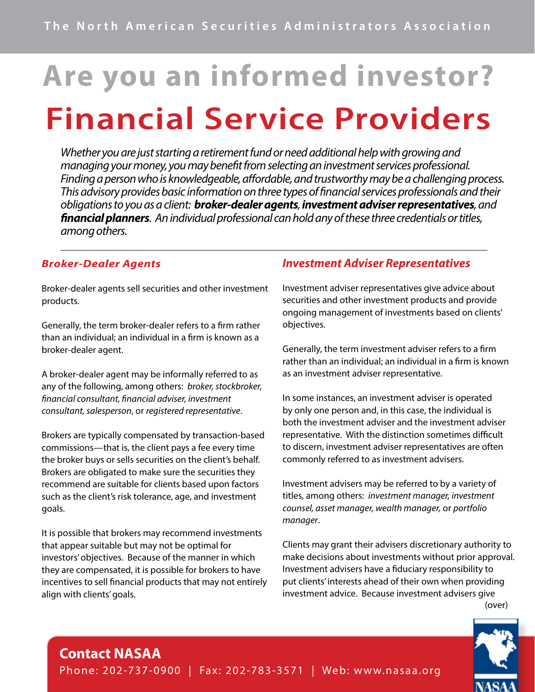# **Are you an informed investor? Financial Service Providers**

*Whether you are just starting a retirement fund or need additional help with growing and managing your money, you may benefit from selecting an investment services professional. Finding a person who is knowledgeable, affordable, and trustworthy may be a challenging process. This advisory provides basic information on three types of financial services professionals and their obligations to you as a client: broker-dealer agents, investment adviser representatives, and financial planners. An individual professional can hold any of these three credentials or titles, among others.* 

#### *Broker-Dealer Agents*

Broker-dealer agents sell securities and other investment products.

Generally, the term broker-dealer refers to a firm rather than an individual; an individual in a firm is known as a broker-dealer agent.

A broker-dealer agent may be informally referred to as any of the following, among others: *broker, stockbroker, financial consultant, financial adviser, investment consultant, salesperson*, or *registered representative*.

Brokers are typically compensated by transaction-based commissions—that is, the client pays a fee every time the broker buys or sells securities on the client's behalf. Brokers are obligated to make sure the securities they recommend are suitable for clients based upon factors such as the client's risk tolerance, age, and investment goals.

It is possible that brokers may recommend investments that appear suitable but may not be optimal for investors' objectives. Because of the manner in which they are compensated, it is possible for brokers to have incentives to sell financial products that may not entirely align with clients' goals.

#### *Investment Adviser Representatives*

Investment adviser representatives give advice about securities and other investment products and provide ongoing management of investments based on clients' objectives.

Generally, the term investment adviser refers to a firm rather than an individual; an individual in a firm is known as an investment adviser representative.

In some instances, an investment adviser is operated by only one person and, in this case, the individual is both the investment adviser and the investment adviser representative. With the distinction sometimes difficult to discern, investment adviser representatives are often commonly referred to as investment advisers.

Investment advisers may be referred to by a variety of titles, among others: *investment manager, investment counsel, asset manager, wealth manager,* or *portfolio manager*.

Clients may grant their advisers discretionary authority to make decisions about investments without prior approval. Investment advisers have a fiduciary responsibility to put clients' interests ahead of their own when providing investment advice. Because investment advisers give (over)



### **Contact NASAA**

Phone: 202-737-0900 | Fax: 202-783-3571 | Web: w w w.nasaa.org